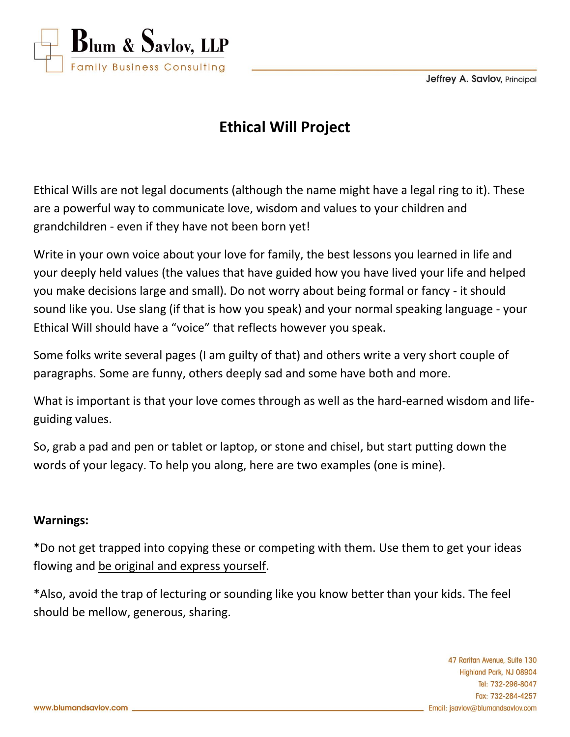**Jeffrey A. Savlov, Principal** 



# **Ethical Will Project**

Ethical Wills are not legal documents (although the name might have a legal ring to it). These are a powerful way to communicate love, wisdom and values to your children and grandchildren - even if they have not been born yet!

Write in your own voice about your love for family, the best lessons you learned in life and your deeply held values (the values that have guided how you have lived your life and helped you make decisions large and small). Do not worry about being formal or fancy - it should sound like you. Use slang (if that is how you speak) and your normal speaking language - your Ethical Will should have a "voice" that reflects however you speak.

Some folks write several pages (I am guilty of that) and others write a very short couple of paragraphs. Some are funny, others deeply sad and some have both and more.

What is important is that your love comes through as well as the hard-earned wisdom and lifeguiding values.

So, grab a pad and pen or tablet or laptop, or stone and chisel, but start putting down the words of your legacy. To help you along, here are two examples (one is mine).

### **Warnings:**

\*Do not get trapped into copying these or competing with them. Use them to get your ideas flowing and be original and express yourself.

\*Also, avoid the trap of lecturing or sounding like you know better than your kids. The feel should be mellow, generous, sharing.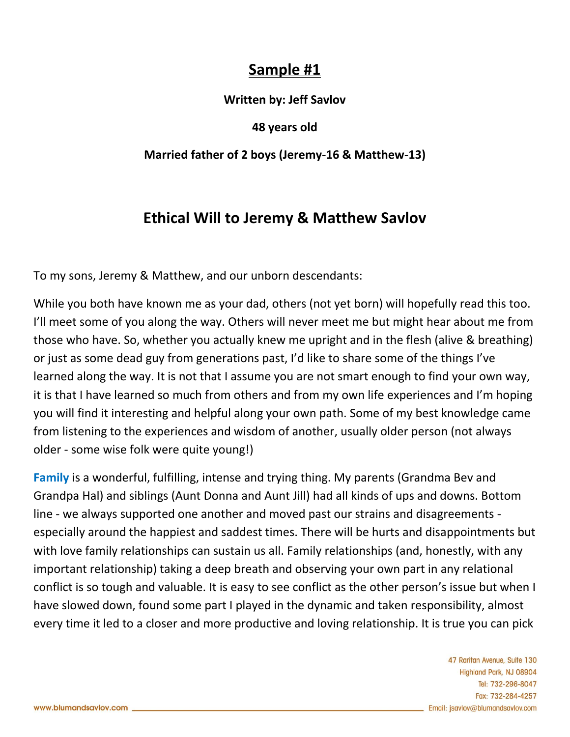## **Sample #1**

### **Written by: Jeff Savlov**

### **48 years old**

### **Married father of 2 boys (Jeremy-16 & Matthew-13)**

# **Ethical Will to Jeremy & Matthew Savlov**

To my sons, Jeremy & Matthew, and our unborn descendants:

While you both have known me as your dad, others (not yet born) will hopefully read this too. I'll meet some of you along the way. Others will never meet me but might hear about me from those who have. So, whether you actually knew me upright and in the flesh (alive & breathing) or just as some dead guy from generations past, I'd like to share some of the things I've learned along the way. It is not that I assume you are not smart enough to find your own way, it is that I have learned so much from others and from my own life experiences and I'm hoping you will find it interesting and helpful along your own path. Some of my best knowledge came from listening to the experiences and wisdom of another, usually older person (not always older - some wise folk were quite young!)

**Family** is a wonderful, fulfilling, intense and trying thing. My parents (Grandma Bev and Grandpa Hal) and siblings (Aunt Donna and Aunt Jill) had all kinds of ups and downs. Bottom line - we always supported one another and moved past our strains and disagreements especially around the happiest and saddest times. There will be hurts and disappointments but with love family relationships can sustain us all. Family relationships (and, honestly, with any important relationship) taking a deep breath and observing your own part in any relational conflict is so tough and valuable. It is easy to see conflict as the other person's issue but when I have slowed down, found some part I played in the dynamic and taken responsibility, almost every time it led to a closer and more productive and loving relationship. It is true you can pick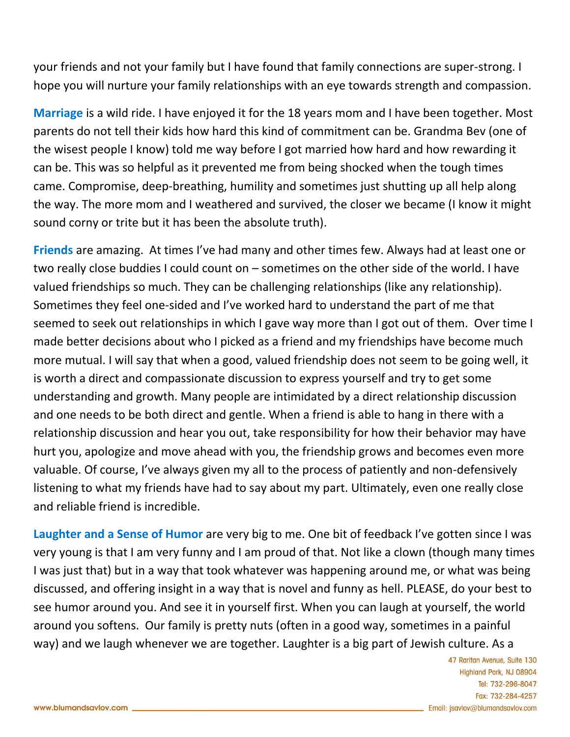your friends and not your family but I have found that family connections are super-strong. I hope you will nurture your family relationships with an eye towards strength and compassion.

**Marriage** is a wild ride. I have enjoyed it for the 18 years mom and I have been together. Most parents do not tell their kids how hard this kind of commitment can be. Grandma Bev (one of the wisest people I know) told me way before I got married how hard and how rewarding it can be. This was so helpful as it prevented me from being shocked when the tough times came. Compromise, deep-breathing, humility and sometimes just shutting up all help along the way. The more mom and I weathered and survived, the closer we became (I know it might sound corny or trite but it has been the absolute truth).

**Friends** are amazing. At times I've had many and other times few. Always had at least one or two really close buddies I could count on – sometimes on the other side of the world. I have valued friendships so much. They can be challenging relationships (like any relationship). Sometimes they feel one-sided and I've worked hard to understand the part of me that seemed to seek out relationships in which I gave way more than I got out of them. Over time I made better decisions about who I picked as a friend and my friendships have become much more mutual. I will say that when a good, valued friendship does not seem to be going well, it is worth a direct and compassionate discussion to express yourself and try to get some understanding and growth. Many people are intimidated by a direct relationship discussion and one needs to be both direct and gentle. When a friend is able to hang in there with a relationship discussion and hear you out, take responsibility for how their behavior may have hurt you, apologize and move ahead with you, the friendship grows and becomes even more valuable. Of course, I've always given my all to the process of patiently and non-defensively listening to what my friends have had to say about my part. Ultimately, even one really close and reliable friend is incredible.

**Laughter and a Sense of Humor** are very big to me. One bit of feedback I've gotten since I was very young is that I am very funny and I am proud of that. Not like a clown (though many times I was just that) but in a way that took whatever was happening around me, or what was being discussed, and offering insight in a way that is novel and funny as hell. PLEASE, do your best to see humor around you. And see it in yourself first. When you can laugh at yourself, the world around you softens. Our family is pretty nuts (often in a good way, sometimes in a painful way) and we laugh whenever we are together. Laughter is a big part of Jewish culture. As a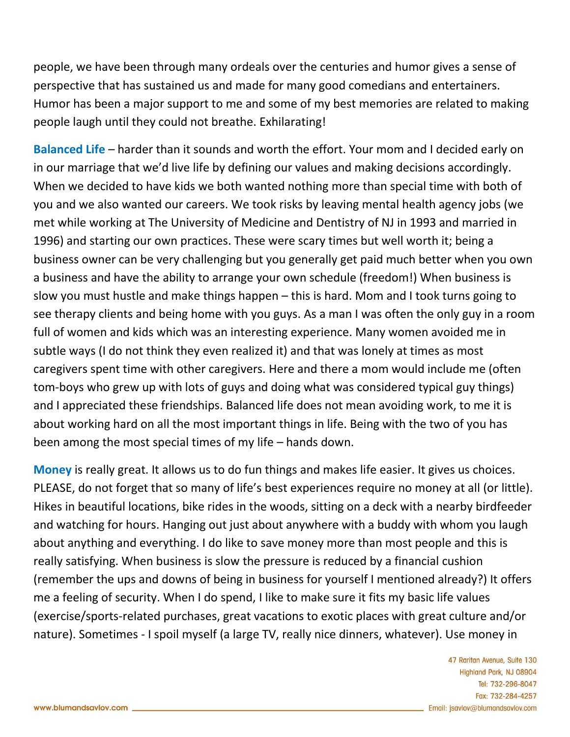people, we have been through many ordeals over the centuries and humor gives a sense of perspective that has sustained us and made for many good comedians and entertainers. Humor has been a major support to me and some of my best memories are related to making people laugh until they could not breathe. Exhilarating!

**Balanced Life** – harder than it sounds and worth the effort. Your mom and I decided early on in our marriage that we'd live life by defining our values and making decisions accordingly. When we decided to have kids we both wanted nothing more than special time with both of you and we also wanted our careers. We took risks by leaving mental health agency jobs (we met while working at The University of Medicine and Dentistry of NJ in 1993 and married in 1996) and starting our own practices. These were scary times but well worth it; being a business owner can be very challenging but you generally get paid much better when you own a business and have the ability to arrange your own schedule (freedom!) When business is slow you must hustle and make things happen – this is hard. Mom and I took turns going to see therapy clients and being home with you guys. As a man I was often the only guy in a room full of women and kids which was an interesting experience. Many women avoided me in subtle ways (I do not think they even realized it) and that was lonely at times as most caregivers spent time with other caregivers. Here and there a mom would include me (often tom-boys who grew up with lots of guys and doing what was considered typical guy things) and I appreciated these friendships. Balanced life does not mean avoiding work, to me it is about working hard on all the most important things in life. Being with the two of you has been among the most special times of my life – hands down.

**Money** is really great. It allows us to do fun things and makes life easier. It gives us choices. PLEASE, do not forget that so many of life's best experiences require no money at all (or little). Hikes in beautiful locations, bike rides in the woods, sitting on a deck with a nearby birdfeeder and watching for hours. Hanging out just about anywhere with a buddy with whom you laugh about anything and everything. I do like to save money more than most people and this is really satisfying. When business is slow the pressure is reduced by a financial cushion (remember the ups and downs of being in business for yourself I mentioned already?) It offers me a feeling of security. When I do spend, I like to make sure it fits my basic life values (exercise/sports-related purchases, great vacations to exotic places with great culture and/or nature). Sometimes - I spoil myself (a large TV, really nice dinners, whatever). Use money in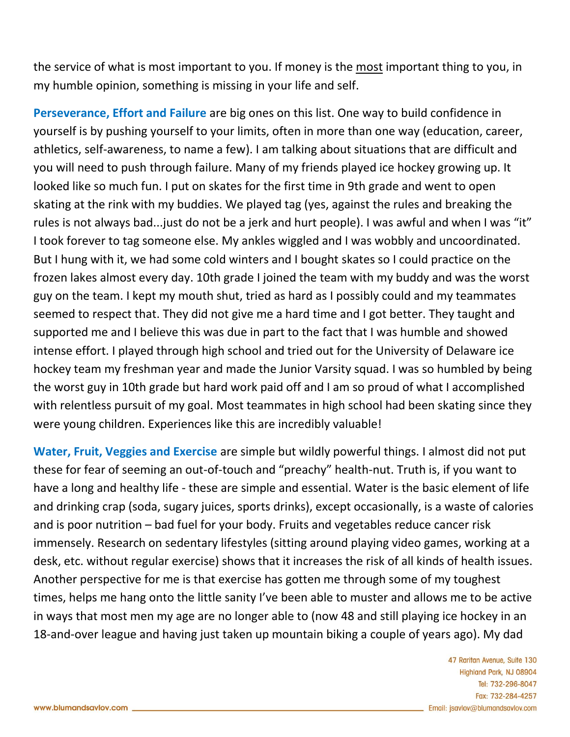the service of what is most important to you. If money is the most important thing to you, in my humble opinion, something is missing in your life and self.

**Perseverance, Effort and Failure** are big ones on this list. One way to build confidence in yourself is by pushing yourself to your limits, often in more than one way (education, career, athletics, self-awareness, to name a few). I am talking about situations that are difficult and you will need to push through failure. Many of my friends played ice hockey growing up. It looked like so much fun. I put on skates for the first time in 9th grade and went to open skating at the rink with my buddies. We played tag (yes, against the rules and breaking the rules is not always bad...just do not be a jerk and hurt people). I was awful and when I was "it" I took forever to tag someone else. My ankles wiggled and I was wobbly and uncoordinated. But I hung with it, we had some cold winters and I bought skates so I could practice on the frozen lakes almost every day. 10th grade I joined the team with my buddy and was the worst guy on the team. I kept my mouth shut, tried as hard as I possibly could and my teammates seemed to respect that. They did not give me a hard time and I got better. They taught and supported me and I believe this was due in part to the fact that I was humble and showed intense effort. I played through high school and tried out for the University of Delaware ice hockey team my freshman year and made the Junior Varsity squad. I was so humbled by being the worst guy in 10th grade but hard work paid off and I am so proud of what I accomplished with relentless pursuit of my goal. Most teammates in high school had been skating since they were young children. Experiences like this are incredibly valuable!

**Water, Fruit, Veggies and Exercise** are simple but wildly powerful things. I almost did not put these for fear of seeming an out-of-touch and "preachy" health-nut. Truth is, if you want to have a long and healthy life - these are simple and essential. Water is the basic element of life and drinking crap (soda, sugary juices, sports drinks), except occasionally, is a waste of calories and is poor nutrition – bad fuel for your body. Fruits and vegetables reduce cancer risk immensely. Research on sedentary lifestyles (sitting around playing video games, working at a desk, etc. without regular exercise) shows that it increases the risk of all kinds of health issues. Another perspective for me is that exercise has gotten me through some of my toughest times, helps me hang onto the little sanity I've been able to muster and allows me to be active in ways that most men my age are no longer able to (now 48 and still playing ice hockey in an 18-and-over league and having just taken up mountain biking a couple of years ago). My dad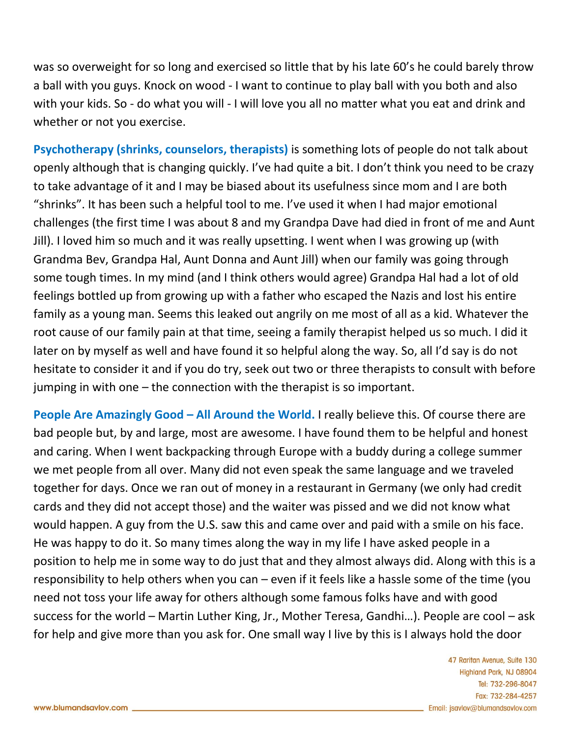was so overweight for so long and exercised so little that by his late 60's he could barely throw a ball with you guys. Knock on wood - I want to continue to play ball with you both and also with your kids. So - do what you will - I will love you all no matter what you eat and drink and whether or not you exercise.

**Psychotherapy (shrinks, counselors, therapists)** is something lots of people do not talk about openly although that is changing quickly. I've had quite a bit. I don't think you need to be crazy to take advantage of it and I may be biased about its usefulness since mom and I are both "shrinks". It has been such a helpful tool to me. I've used it when I had major emotional challenges (the first time I was about 8 and my Grandpa Dave had died in front of me and Aunt Jill). I loved him so much and it was really upsetting. I went when I was growing up (with Grandma Bev, Grandpa Hal, Aunt Donna and Aunt Jill) when our family was going through some tough times. In my mind (and I think others would agree) Grandpa Hal had a lot of old feelings bottled up from growing up with a father who escaped the Nazis and lost his entire family as a young man. Seems this leaked out angrily on me most of all as a kid. Whatever the root cause of our family pain at that time, seeing a family therapist helped us so much. I did it later on by myself as well and have found it so helpful along the way. So, all I'd say is do not hesitate to consider it and if you do try, seek out two or three therapists to consult with before jumping in with one – the connection with the therapist is so important.

**People Are Amazingly Good – All Around the World.** I really believe this. Of course there are bad people but, by and large, most are awesome. I have found them to be helpful and honest and caring. When I went backpacking through Europe with a buddy during a college summer we met people from all over. Many did not even speak the same language and we traveled together for days. Once we ran out of money in a restaurant in Germany (we only had credit cards and they did not accept those) and the waiter was pissed and we did not know what would happen. A guy from the U.S. saw this and came over and paid with a smile on his face. He was happy to do it. So many times along the way in my life I have asked people in a position to help me in some way to do just that and they almost always did. Along with this is a responsibility to help others when you can – even if it feels like a hassle some of the time (you need not toss your life away for others although some famous folks have and with good success for the world – Martin Luther King, Jr., Mother Teresa, Gandhi…). People are cool – ask for help and give more than you ask for. One small way I live by this is I always hold the door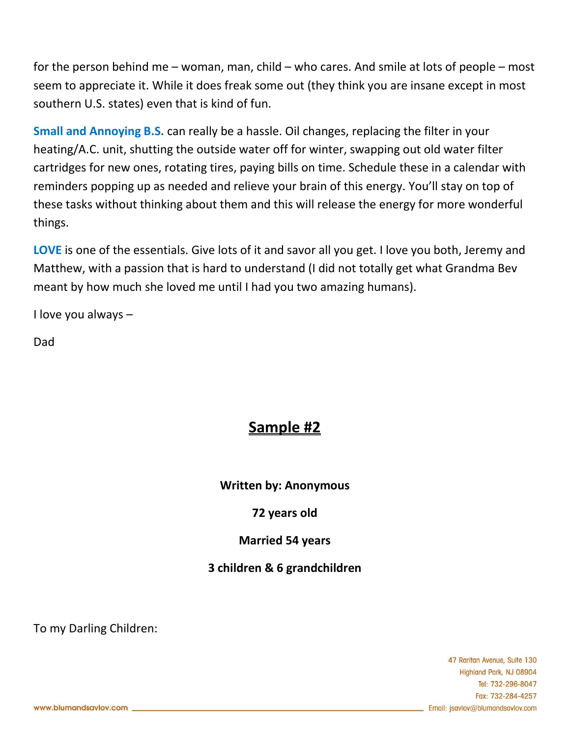for the person behind me – woman, man, child – who cares. And smile at lots of people – most seem to appreciate it. While it does freak some out (they think you are insane except in most southern U.S. states) even that is kind of fun.

**Small and Annoying B.S.** can really be a hassle. Oil changes, replacing the filter in your heating/A.C. unit, shutting the outside water off for winter, swapping out old water filter cartridges for new ones, rotating tires, paying bills on time. Schedule these in a calendar with reminders popping up as needed and relieve your brain of this energy. You'll stay on top of these tasks without thinking about them and this will release the energy for more wonderful things.

**LOVE** is one of the essentials. Give lots of it and savor all you get. I love you both, Jeremy and Matthew, with a passion that is hard to understand (I did not totally get what Grandma Bev meant by how much she loved me until I had you two amazing humans).

I love you always –

Dad

# **Sample #2**

**Written by: Anonymous**

### **72 years old**

### **Married 54 years**

### **3 children & 6 grandchildren**

To my Darling Children: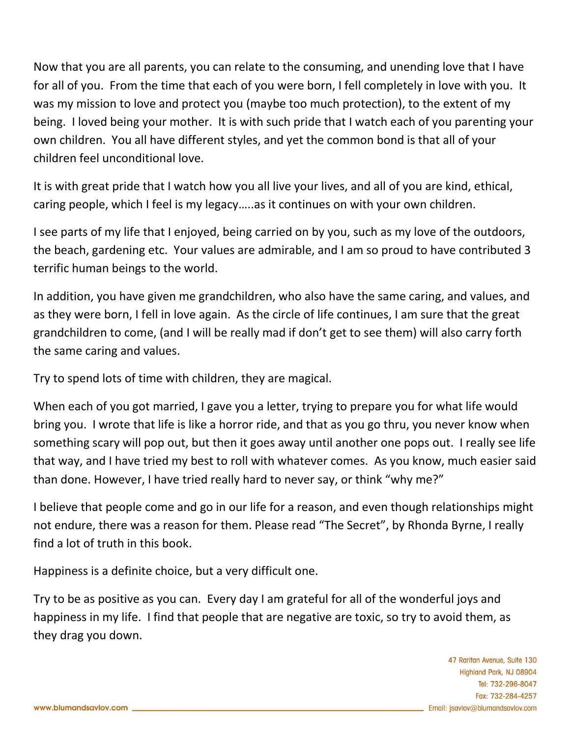Now that you are all parents, you can relate to the consuming, and unending love that I have for all of you. From the time that each of you were born, I fell completely in love with you. It was my mission to love and protect you (maybe too much protection), to the extent of my being. I loved being your mother. It is with such pride that I watch each of you parenting your own children. You all have different styles, and yet the common bond is that all of your children feel unconditional love.

It is with great pride that I watch how you all live your lives, and all of you are kind, ethical, caring people, which I feel is my legacy…..as it continues on with your own children.

I see parts of my life that I enjoyed, being carried on by you, such as my love of the outdoors, the beach, gardening etc. Your values are admirable, and I am so proud to have contributed 3 terrific human beings to the world.

In addition, you have given me grandchildren, who also have the same caring, and values, and as they were born, I fell in love again. As the circle of life continues, I am sure that the great grandchildren to come, (and I will be really mad if don't get to see them) will also carry forth the same caring and values.

Try to spend lots of time with children, they are magical.

When each of you got married, I gave you a letter, trying to prepare you for what life would bring you. I wrote that life is like a horror ride, and that as you go thru, you never know when something scary will pop out, but then it goes away until another one pops out. I really see life that way, and I have tried my best to roll with whatever comes. As you know, much easier said than done. However, I have tried really hard to never say, or think "why me?"

I believe that people come and go in our life for a reason, and even though relationships might not endure, there was a reason for them. Please read "The Secret", by Rhonda Byrne, I really find a lot of truth in this book.

Happiness is a definite choice, but a very difficult one.

Try to be as positive as you can. Every day I am grateful for all of the wonderful joys and happiness in my life. I find that people that are negative are toxic, so try to avoid them, as they drag you down.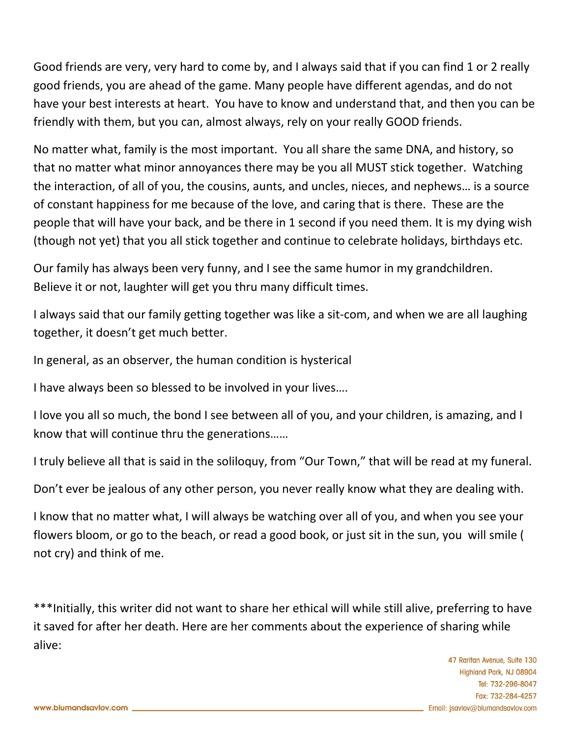Good friends are very, very hard to come by, and I always said that if you can find 1 or 2 really good friends, you are ahead of the game. Many people have different agendas, and do not have your best interests at heart. You have to know and understand that, and then you can be friendly with them, but you can, almost always, rely on your really GOOD friends.

No matter what, family is the most important. You all share the same DNA, and history, so that no matter what minor annoyances there may be you all MUST stick together. Watching the interaction, of all of you, the cousins, aunts, and uncles, nieces, and nephews… is a source of constant happiness for me because of the love, and caring that is there. These are the people that will have your back, and be there in 1 second if you need them. It is my dying wish (though not yet) that you all stick together and continue to celebrate holidays, birthdays etc.

Our family has always been very funny, and I see the same humor in my grandchildren. Believe it or not, laughter will get you thru many difficult times.

I always said that our family getting together was like a sit-com, and when we are all laughing together, it doesn't get much better.

In general, as an observer, the human condition is hysterical

I have always been so blessed to be involved in your lives….

I love you all so much, the bond I see between all of you, and your children, is amazing, and I know that will continue thru the generations……

I truly believe all that is said in the soliloquy, from "Our Town," that will be read at my funeral.

Don't ever be jealous of any other person, you never really know what they are dealing with.

I know that no matter what, I will always be watching over all of you, and when you see your flowers bloom, or go to the beach, or read a good book, or just sit in the sun, you will smile ( not cry) and think of me.

\*\*\*Initially, this writer did not want to share her ethical will while still alive, preferring to have it saved for after her death. Here are her comments about the experience of sharing while alive: